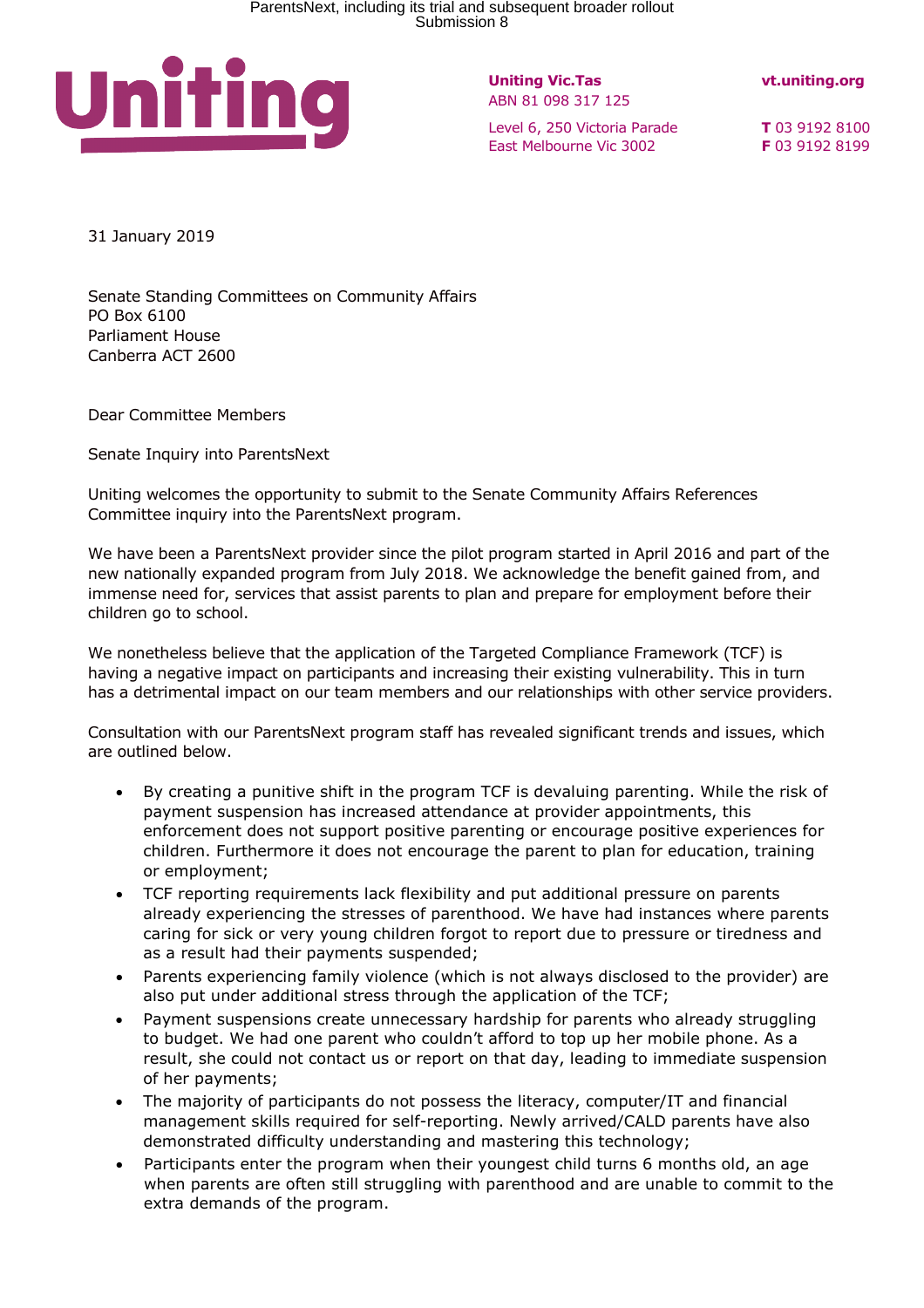

**Uniting Vic.Tas** ABN 81 098 317 125

Level 6, 250 Victoria Parade East Melbourne Vic 3002

**vt.uniting.org**

**T** 03 9192 8100 **F** 03 9192 8199

31 January 2019

Senate Standing Committees on Community Affairs PO Box 6100 Parliament House Canberra ACT 2600

Dear Committee Members

Senate Inquiry into ParentsNext

Uniting welcomes the opportunity to submit to the Senate Community Affairs References Committee inquiry into the ParentsNext program.

We have been a ParentsNext provider since the pilot program started in April 2016 and part of the new nationally expanded program from July 2018. We acknowledge the benefit gained from, and immense need for, services that assist parents to plan and prepare for employment before their children go to school.

We nonetheless believe that the application of the Targeted Compliance Framework (TCF) is having a negative impact on participants and increasing their existing vulnerability. This in turn has a detrimental impact on our team members and our relationships with other service providers.

Consultation with our ParentsNext program staff has revealed significant trends and issues, which are outlined below.

- By creating a punitive shift in the program TCF is devaluing parenting. While the risk of payment suspension has increased attendance at provider appointments, this enforcement does not support positive parenting or encourage positive experiences for children. Furthermore it does not encourage the parent to plan for education, training or employment;
- TCF reporting requirements lack flexibility and put additional pressure on parents already experiencing the stresses of parenthood. We have had instances where parents caring for sick or very young children forgot to report due to pressure or tiredness and as a result had their payments suspended;
- Parents experiencing family violence (which is not always disclosed to the provider) are also put under additional stress through the application of the TCF;
- Payment suspensions create unnecessary hardship for parents who already struggling to budget. We had one parent who couldn't afford to top up her mobile phone. As a result, she could not contact us or report on that day, leading to immediate suspension of her payments;
- The majority of participants do not possess the literacy, computer/IT and financial management skills required for self-reporting. Newly arrived/CALD parents have also demonstrated difficulty understanding and mastering this technology;
- Participants enter the program when their youngest child turns 6 months old, an age when parents are often still struggling with parenthood and are unable to commit to the extra demands of the program.